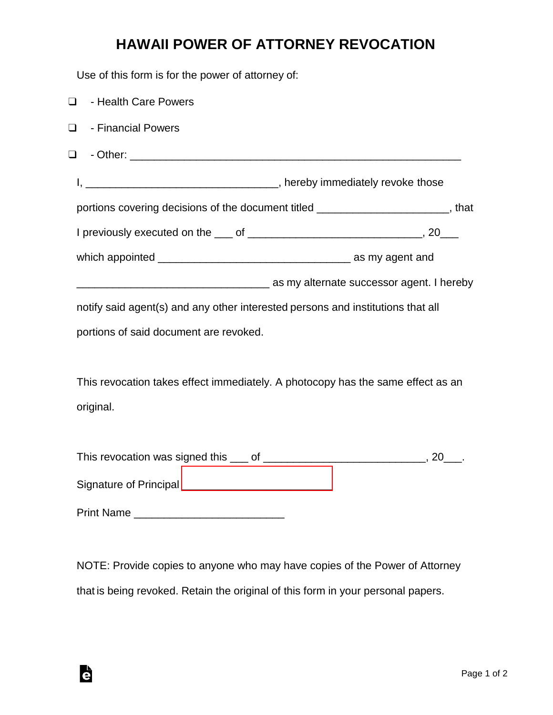## **HAWAII POWER OF ATTORNEY REVOCATION**

Use of this form is for the power of attorney of:

| $\Box$ | - Health Care Powers                                                             |
|--------|----------------------------------------------------------------------------------|
| $\Box$ | - Financial Powers                                                               |
| $\Box$ |                                                                                  |
|        |                                                                                  |
|        | portions covering decisions of the document titled _______________________, that |
|        |                                                                                  |
|        |                                                                                  |
|        |                                                                                  |
|        | notify said agent(s) and any other interested persons and institutions that all  |
|        | portions of said document are revoked.                                           |
|        |                                                                                  |
|        | This revocation takes effect immediately. A photocopy has the same effect as an  |
|        | original.                                                                        |
|        |                                                                                  |
|        |                                                                                  |
|        |                                                                                  |

Print Name \_\_\_\_\_\_\_\_\_\_\_\_\_\_\_\_\_\_\_\_\_\_\_\_\_

Ġ

NOTE: Provide copies to anyone who may have copies of the Power of Attorney that is being revoked. Retain the original of this form in your personal papers.